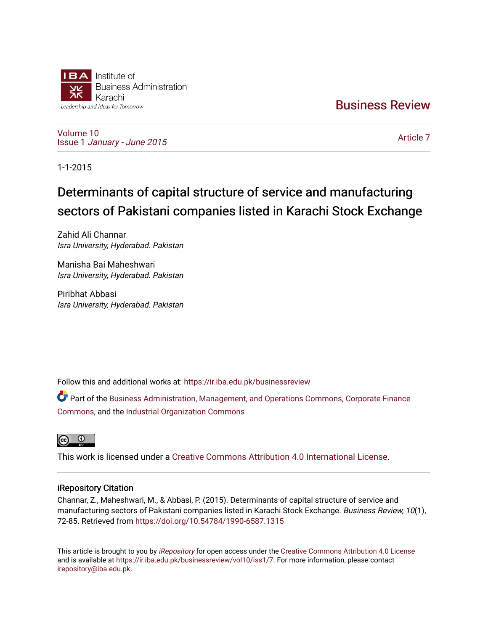

[Business Review](https://ir.iba.edu.pk/businessreview) 

[Volume 10](https://ir.iba.edu.pk/businessreview/vol10) Issue 1 [January - June 2015](https://ir.iba.edu.pk/businessreview/vol10/iss1) 

[Article 7](https://ir.iba.edu.pk/businessreview/vol10/iss1/7) 

1-1-2015

# Determinants of capital structure of service and manufacturing sectors of Pakistani companies listed in Karachi Stock Exchange

Zahid Ali Channar Isra University, Hyderabad. Pakistan

Manisha Bai Maheshwari Isra University, Hyderabad. Pakistan

Piribhat Abbasi Isra University, Hyderabad. Pakistan

Follow this and additional works at: [https://ir.iba.edu.pk/businessreview](https://ir.iba.edu.pk/businessreview?utm_source=ir.iba.edu.pk%2Fbusinessreview%2Fvol10%2Fiss1%2F7&utm_medium=PDF&utm_campaign=PDFCoverPages) 

Part of the [Business Administration, Management, and Operations Commons](http://network.bepress.com/hgg/discipline/623?utm_source=ir.iba.edu.pk%2Fbusinessreview%2Fvol10%2Fiss1%2F7&utm_medium=PDF&utm_campaign=PDFCoverPages), [Corporate Finance](http://network.bepress.com/hgg/discipline/629?utm_source=ir.iba.edu.pk%2Fbusinessreview%2Fvol10%2Fiss1%2F7&utm_medium=PDF&utm_campaign=PDFCoverPages) [Commons](http://network.bepress.com/hgg/discipline/629?utm_source=ir.iba.edu.pk%2Fbusinessreview%2Fvol10%2Fiss1%2F7&utm_medium=PDF&utm_campaign=PDFCoverPages), and the [Industrial Organization Commons](http://network.bepress.com/hgg/discipline/347?utm_source=ir.iba.edu.pk%2Fbusinessreview%2Fvol10%2Fiss1%2F7&utm_medium=PDF&utm_campaign=PDFCoverPages)



This work is licensed under a [Creative Commons Attribution 4.0 International License](https://creativecommons.org/licenses/by/4.0/).

# iRepository Citation

Channar, Z., Maheshwari, M., & Abbasi, P. (2015). Determinants of capital structure of service and manufacturing sectors of Pakistani companies listed in Karachi Stock Exchange. Business Review, 10(1), 72-85. Retrieved from <https://doi.org/10.54784/1990-6587.1315>

This article is brought to you by [iRepository](https://ir.iba.edu.pk/) for open access under the Creative Commons Attribution 4.0 License and is available at [https://ir.iba.edu.pk/businessreview/vol10/iss1/7.](https://ir.iba.edu.pk/businessreview/vol10/iss1/7) For more information, please contact [irepository@iba.edu.pk.](mailto:irepository@iba.edu.pk)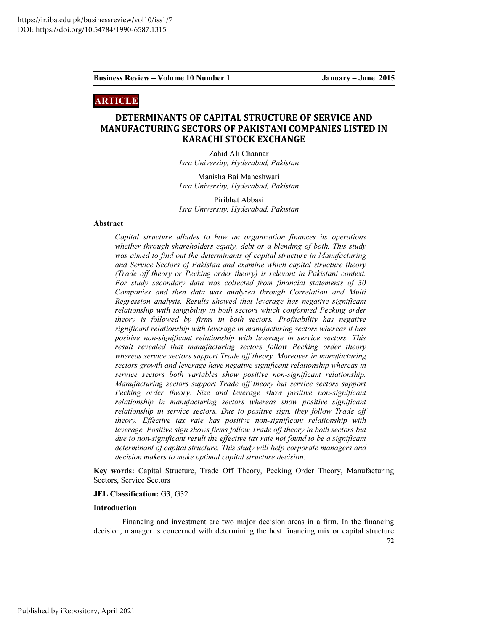# ARTICLE

# DETERMINANTS OF CAPITAL STRUCTURE OF SERVICE AND MANUFACTURING SECTORS OF PAKISTANI COMPANIES LISTED IN KARACHI STOCK EXCHANGE

Zahid Ali Channar *Isra University, Hyderabad, Pakistan*

Manisha Bai Maheshwari *Isra University, Hyderabad, Pakistan*

Piribhat Abbasi *Isra University, Hyderabad. Pakistan*

# Abstract

*Capital structure alludes to how an organization finances its operations whether through shareholders equity, debt or a blending of both. This study was aimed to find out the determinants of capital structure in Manufacturing and Service Sectors of Pakistan and examine which capital structure theory (Trade off theory or Pecking order theory) is relevant in Pakistani context. For study secondary data was collected from financial statements of 30 Companies and then data was analyzed through Correlation and Multi Regression analysis. Results showed that leverage has negative significant relationship with tangibility in both sectors which conformed Pecking order theory is followed by firms in both sectors. Profitability has negative significant relationship with leverage in manufacturing sectors whereas it has positive non-significant relationship with leverage in service sectors. This result revealed that manufacturing sectors follow Pecking order theory whereas service sectors support Trade off theory. Moreover in manufacturing sectors growth and leverage have negative significant relationship whereas in service sectors both variables show positive non-significant relationship. Manufacturing sectors support Trade off theory but service sectors support Pecking order theory. Size and leverage show positive non-significant relationship in manufacturing sectors whereas show positive significant relationship in service sectors. Due to positive sign, they follow Trade off theory. Effective tax rate has positive non-significant relationship with*  leverage. Positive sign shows firms follow Trade off theory in both sectors but *due to non-significant result the effective tax rate not found to be a significant determinant of capital structure. This study will help corporate managers and decision makers to make optimal capital structure decision*.

Key words: Capital Structure, Trade Off Theory, Pecking Order Theory, Manufacturing Sectors, Service Sectors

#### JEL Classification: G3, G32

#### Introduction

Financing and investment are two major decision areas in a firm. In the financing decision, manager is concerned with determining the best financing mix or capital structure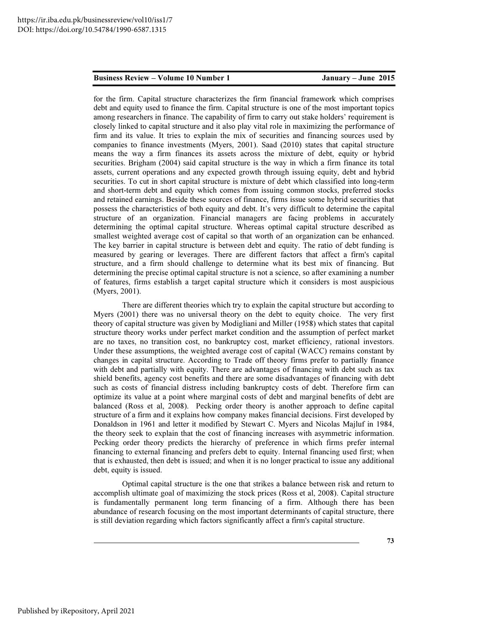for the firm. Capital structure characterizes the firm financial framework which comprises debt and equity used to finance the firm. Capital structure is one of the most important topics among researchers in finance. The capability of firm to carry out stake holders' requirement is closely linked to capital structure and it also play vital role in maximizing the performance of firm and its value. It tries to explain the mix of securities and financing sources used by companies to finance investments (Myers, 2001). Saad (2010) states that capital structure means the way a firm finances its assets across the mixture of debt, equity or hybrid securities. Brigham (2004) said capital structure is the way in which a firm finance its total assets, current operations and any expected growth through issuing equity, debt and hybrid securities. To cut in short capital structure is mixture of debt which classified into long-term and short-term debt and equity which comes from issuing common stocks, preferred stocks and retained earnings. Beside these sources of finance, firms issue some hybrid securities that possess the characteristics of both equity and debt. It's very difficult to determine the capital structure of an organization. Financial managers are facing problems in accurately determining the optimal capital structure. Whereas optimal capital structure described as smallest weighted average cost of capital so that worth of an organization can be enhanced. The key barrier in capital structure is between debt and equity. The ratio of debt funding is measured by gearing or leverages. There are different factors that affect a firm's capital structure, and a firm should challenge to determine what its best mix of financing. But determining the precise optimal capital structure is not a science, so after examining a number of features, firms establish a target capital structure which it considers is most auspicious (Myers, 2001).

There are different theories which try to explain the capital structure but according to Myers (2001) there was no universal theory on the debt to equity choice. The very first theory of capital structure was given by Modigliani and Miller (1958) which states that capital structure theory works under perfect market condition and the assumption of perfect market are no taxes, no transition cost, no bankruptcy cost, market efficiency, rational investors. Under these assumptions, the weighted average cost of capital (WACC) remains constant by changes in capital structure. According to Trade off theory firms prefer to partially finance with debt and partially with equity. There are advantages of financing with debt such as tax shield benefits, agency cost benefits and there are some disadvantages of financing with debt such as costs of financial distress including bankruptcy costs of debt. Therefore firm can optimize its value at a point where marginal costs of debt and marginal benefits of debt are balanced (Ross et al, 2008). Pecking order theory is another approach to define capital structure of a firm and it explains how company makes financial decisions. First developed by Donaldson in 1961 and letter it modified by Stewart C. Myers and Nicolas Majluf in 1984, the theory seek to explain that the cost of financing increases with asymmetric information. Pecking order theory predicts the hierarchy of preference in which firms prefer internal financing to external financing and prefers debt to equity. Internal financing used first; when that is exhausted, then debt is issued; and when it is no longer practical to issue any additional debt, equity is issued.

Optimal capital structure is the one that strikes a balance between risk and return to accomplish ultimate goal of maximizing the stock prices (Ross et al, 2008). Capital structure is fundamentally permanent long term financing of a firm. Although there has been abundance of research focusing on the most important determinants of capital structure, there is still deviation regarding which factors significantly affect a firm's capital structure.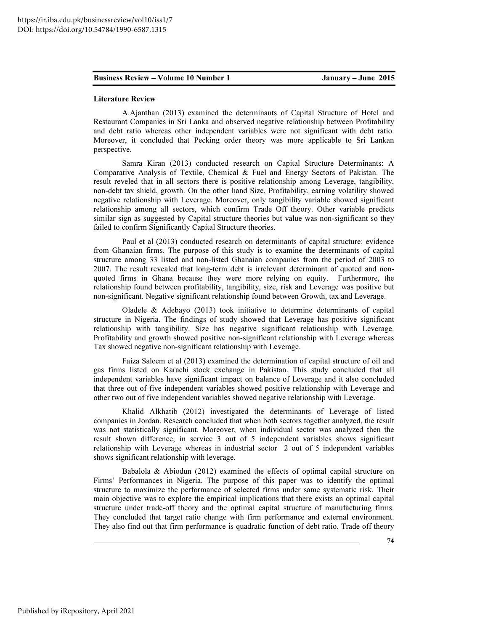#### Literature Review

A.Ajanthan (2013) examined the determinants of Capital Structure of Hotel and Restaurant Companies in Sri Lanka and observed negative relationship between Profitability and debt ratio whereas other independent variables were not significant with debt ratio. Moreover, it concluded that Pecking order theory was more applicable to Sri Lankan perspective.

Samra Kiran (2013) conducted research on Capital Structure Determinants: A Comparative Analysis of Textile, Chemical & Fuel and Energy Sectors of Pakistan. The result reveled that in all sectors there is positive relationship among Leverage, tangibility, non-debt tax shield, growth. On the other hand Size, Profitability, earning volatility showed negative relationship with Leverage. Moreover, only tangibility variable showed significant relationship among all sectors, which confirm Trade Off theory. Other variable predicts similar sign as suggested by Capital structure theories but value was non-significant so they failed to confirm Significantly Capital Structure theories.

Paul et al (2013) conducted research on determinants of capital structure: evidence from Ghanaian firms. The purpose of this study is to examine the determinants of capital structure among 33 listed and non-listed Ghanaian companies from the period of 2003 to 2007. The result revealed that long-term debt is irrelevant determinant of quoted and nonquoted firms in Ghana because they were more relying on equity. Furthermore, the relationship found between profitability, tangibility, size, risk and Leverage was positive but non-significant. Negative significant relationship found between Growth, tax and Leverage.

Oladele & Adebayo (2013) took initiative to determine determinants of capital structure in Nigeria. The findings of study showed that Leverage has positive significant relationship with tangibility. Size has negative significant relationship with Leverage. Profitability and growth showed positive non-significant relationship with Leverage whereas Tax showed negative non-significant relationship with Leverage.

Faiza Saleem et al (2013) examined the determination of capital structure of oil and gas firms listed on Karachi stock exchange in Pakistan. This study concluded that all independent variables have significant impact on balance of Leverage and it also concluded that three out of five independent variables showed positive relationship with Leverage and other two out of five independent variables showed negative relationship with Leverage.

Khalid Alkhatib (2012) investigated the determinants of Leverage of listed companies in Jordan. Research concluded that when both sectors together analyzed, the result was not statistically significant. Moreover, when individual sector was analyzed then the result shown difference, in service 3 out of 5 independent variables shows significant relationship with Leverage whereas in industrial sector 2 out of 5 independent variables shows significant relationship with leverage.

Babalola & Abiodun (2012) examined the effects of optimal capital structure on Firms' Performances in Nigeria. The purpose of this paper was to identify the optimal structure to maximize the performance of selected firms under same systematic risk. Their main objective was to explore the empirical implications that there exists an optimal capital structure under trade-off theory and the optimal capital structure of manufacturing firms. They concluded that target ratio change with firm performance and external environment. They also find out that firm performance is quadratic function of debt ratio. Trade off theory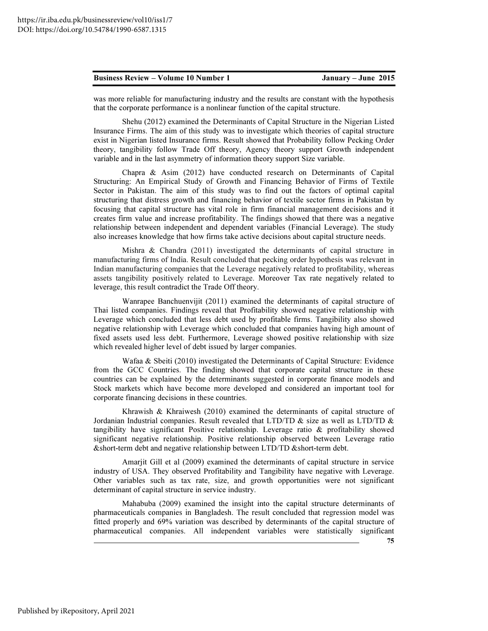was more reliable for manufacturing industry and the results are constant with the hypothesis that the corporate performance is a nonlinear function of the capital structure.

Shehu (2012) examined the Determinants of Capital Structure in the Nigerian Listed Insurance Firms. The aim of this study was to investigate which theories of capital structure exist in Nigerian listed Insurance firms. Result showed that Probability follow Pecking Order theory, tangibility follow Trade Off theory, Agency theory support Growth independent variable and in the last asymmetry of information theory support Size variable.

Chapra & Asim (2012) have conducted research on Determinants of Capital Structuring: An Empirical Study of Growth and Financing Behavior of Firms of Textile Sector in Pakistan. The aim of this study was to find out the factors of optimal capital structuring that distress growth and financing behavior of textile sector firms in Pakistan by focusing that capital structure has vital role in firm financial management decisions and it creates firm value and increase profitability. The findings showed that there was a negative relationship between independent and dependent variables (Financial Leverage). The study also increases knowledge that how firms take active decisions about capital structure needs.

Mishra  $\&$  Chandra (2011) investigated the determinants of capital structure in manufacturing firms of India. Result concluded that pecking order hypothesis was relevant in Indian manufacturing companies that the Leverage negatively related to profitability, whereas assets tangibility positively related to Leverage. Moreover Tax rate negatively related to leverage, this result contradict the Trade Off theory.

Wanrapee Banchuenvijit (2011) examined the determinants of capital structure of Thai listed companies. Findings reveal that Profitability showed negative relationship with Leverage which concluded that less debt used by profitable firms. Tangibility also showed negative relationship with Leverage which concluded that companies having high amount of fixed assets used less debt. Furthermore, Leverage showed positive relationship with size which revealed higher level of debt issued by larger companies.

Wafaa & Sbeiti (2010) investigated the Determinants of Capital Structure: Evidence from the GCC Countries. The finding showed that corporate capital structure in these countries can be explained by the determinants suggested in corporate finance models and Stock markets which have become more developed and considered an important tool for corporate financing decisions in these countries.

Khrawish & Khraiwesh (2010) examined the determinants of capital structure of Jordanian Industrial companies. Result revealed that LTD/TD  $\&$  size as well as LTD/TD  $\&$ tangibility have significant Positive relationship. Leverage ratio & profitability showed significant negative relationship. Positive relationship observed between Leverage ratio &short-term debt and negative relationship between LTD/TD &short-term debt.

Amarjit Gill et al (2009) examined the determinants of capital structure in service industry of USA. They observed Profitability and Tangibility have negative with Leverage. Other variables such as tax rate, size, and growth opportunities were not significant determinant of capital structure in service industry.

Mahabuba (2009) examined the insight into the capital structure determinants of pharmaceuticals companies in Bangladesh. The result concluded that regression model was fitted properly and 69% variation was described by determinants of the capital structure of pharmaceutical companies. All independent variables were statistically significant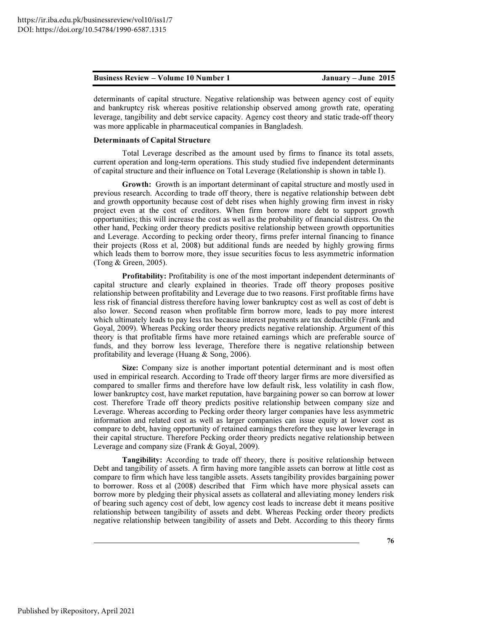determinants of capital structure. Negative relationship was between agency cost of equity and bankruptcy risk whereas positive relationship observed among growth rate, operating leverage, tangibility and debt service capacity. Agency cost theory and static trade-off theory was more applicable in pharmaceutical companies in Bangladesh.

#### Determinants of Capital Structure

Total Leverage described as the amount used by firms to finance its total assets, current operation and long-term operations. This study studied five independent determinants of capital structure and their influence on Total Leverage (Relationship is shown in table I).

Growth: Growth is an important determinant of capital structure and mostly used in previous research. According to trade off theory, there is negative relationship between debt and growth opportunity because cost of debt rises when highly growing firm invest in risky project even at the cost of creditors. When firm borrow more debt to support growth opportunities; this will increase the cost as well as the probability of financial distress. On the other hand, Pecking order theory predicts positive relationship between growth opportunities and Leverage. According to pecking order theory, firms prefer internal financing to finance their projects (Ross et al, 2008) but additional funds are needed by highly growing firms which leads them to borrow more, they issue securities focus to less asymmetric information (Tong & Green, 2005).

Profitability: Profitability is one of the most important independent determinants of capital structure and clearly explained in theories. Trade off theory proposes positive relationship between profitability and Leverage due to two reasons. First profitable firms have less risk of financial distress therefore having lower bankruptcy cost as well as cost of debt is also lower. Second reason when profitable firm borrow more, leads to pay more interest which ultimately leads to pay less tax because interest payments are tax deductible (Frank and Goyal, 2009). Whereas Pecking order theory predicts negative relationship. Argument of this theory is that profitable firms have more retained earnings which are preferable source of funds, and they borrow less leverage, Therefore there is negative relationship between profitability and leverage (Huang & Song, 2006).

Size: Company size is another important potential determinant and is most often used in empirical research. According to Trade off theory larger firms are more diversified as compared to smaller firms and therefore have low default risk, less volatility in cash flow, lower bankruptcy cost, have market reputation, have bargaining power so can borrow at lower cost. Therefore Trade off theory predicts positive relationship between company size and Leverage. Whereas according to Pecking order theory larger companies have less asymmetric information and related cost as well as larger companies can issue equity at lower cost as compare to debt, having opportunity of retained earnings therefore they use lower leverage in their capital structure. Therefore Pecking order theory predicts negative relationship between Leverage and company size (Frank & Goyal, 2009).

Tangibility: According to trade off theory, there is positive relationship between Debt and tangibility of assets. A firm having more tangible assets can borrow at little cost as compare to firm which have less tangible assets. Assets tangibility provides bargaining power to borrower. Ross et al (2008) described that Firm which have more physical assets can borrow more by pledging their physical assets as collateral and alleviating money lenders risk of bearing such agency cost of debt, low agency cost leads to increase debt it means positive relationship between tangibility of assets and debt. Whereas Pecking order theory predicts negative relationship between tangibility of assets and Debt. According to this theory firms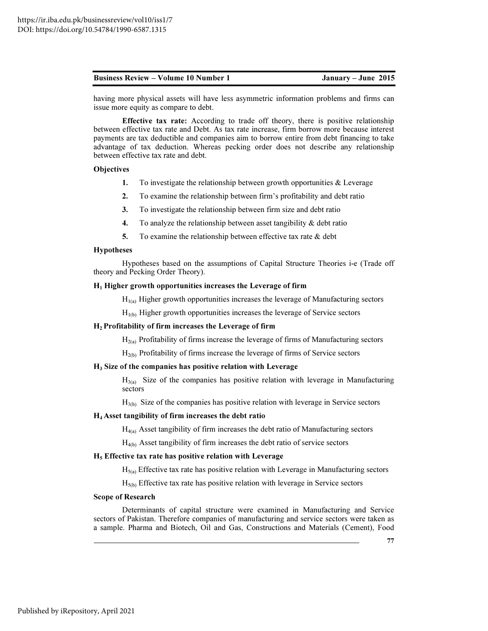having more physical assets will have less asymmetric information problems and firms can issue more equity as compare to debt.

Effective tax rate: According to trade off theory, there is positive relationship between effective tax rate and Debt. As tax rate increase, firm borrow more because interest payments are tax deductible and companies aim to borrow entire from debt financing to take advantage of tax deduction. Whereas pecking order does not describe any relationship between effective tax rate and debt.

### **Objectives**

- 1. To investigate the relationship between growth opportunities  $&$  Leverage
- 2. To examine the relationship between firm's profitability and debt ratio
- 3. To investigate the relationship between firm size and debt ratio
- 4. To analyze the relationship between asset tangibility  $\&$  debt ratio
- 5. To examine the relationship between effective tax rate  $&$  debt

#### Hypotheses

Hypotheses based on the assumptions of Capital Structure Theories i-e (Trade off theory and Pecking Order Theory).

#### $H_1$  Higher growth opportunities increases the Leverage of firm

 $H<sub>I(a)</sub>$  Higher growth opportunities increases the leverage of Manufacturing sectors

 $H<sub>1(b)</sub>$  Higher growth opportunities increases the leverage of Service sectors

#### H<sub>2</sub> Profitability of firm increases the Leverage of firm

 $H_{2(a)}$  Profitability of firms increase the leverage of firms of Manufacturing sectors

 $H<sub>2(b)</sub>$  Profitability of firms increase the leverage of firms of Service sectors

### H3 Size of the companies has positive relation with Leverage

 $H_{3(a)}$  Size of the companies has positive relation with leverage in Manufacturing sectors

 $H<sub>3(b)</sub>$  Size of the companies has positive relation with leverage in Service sectors

#### H4 Asset tangibility of firm increases the debt ratio

 $H_{4(a)}$  Asset tangibility of firm increases the debt ratio of Manufacturing sectors

 $H_{4(b)}$  Asset tangibility of firm increases the debt ratio of service sectors

### $H<sub>5</sub>$  Effective tax rate has positive relation with Leverage

 $H_{5(a)}$  Effective tax rate has positive relation with Leverage in Manufacturing sectors

 $H_{5(b)}$  Effective tax rate has positive relation with leverage in Service sectors

#### Scope of Research

Determinants of capital structure were examined in Manufacturing and Service sectors of Pakistan. Therefore companies of manufacturing and service sectors were taken as a sample. Pharma and Biotech, Oil and Gas, Constructions and Materials (Cement), Food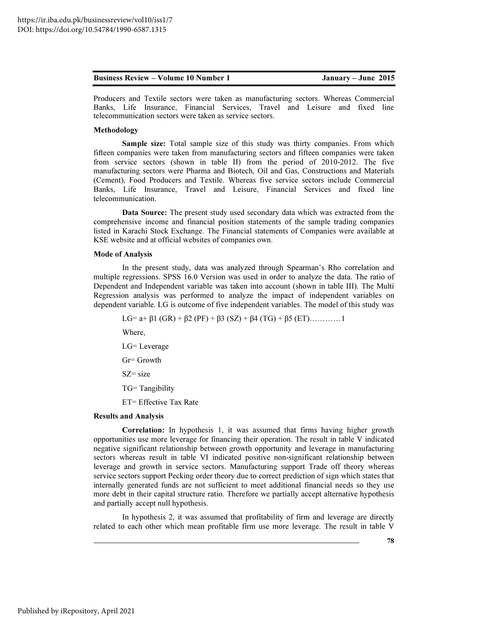| January – June $2015$ |
|-----------------------|
|                       |

Producers and Textile sectors were taken as manufacturing sectors. Whereas Commercial Banks, Life Insurance, Financial Services, Travel and Leisure and fixed line telecommunication sectors were taken as service sectors.

### Methodology

Sample size: Total sample size of this study was thirty companies. From which fifteen companies were taken from manufacturing sectors and fifteen companies were taken from service sectors (shown in table II) from the period of 2010-2012. The five manufacturing sectors were Pharma and Biotech, Oil and Gas, Constructions and Materials (Cement), Food Producers and Textile. Whereas five service sectors include Commercial Banks, Life Insurance, Travel and Leisure, Financial Services and fixed line telecommunication.

Data Source: The present study used secondary data which was extracted from the comprehensive income and financial position statements of the sample trading companies listed in Karachi Stock Exchange. The Financial statements of Companies were available at KSE website and at official websites of companies own.

### Mode of Analysis

In the present study, data was analyzed through Spearman's Rho correlation and multiple regressions. SPSS 16.0 Version was used in order to analyze the data. The ratio of Dependent and Independent variable was taken into account (shown in table III). The Multi Regression analysis was performed to analyze the impact of independent variables on dependent variable. LG is outcome of five independent variables. The model of this study was

LG= a+  $\beta$ 1 (GR) +  $\beta$ 2 (PF) +  $\beta$ 3 (SZ) +  $\beta$ 4 (TG) +  $\beta$ 5 (ET)…………1

Where,

LG= Leverage Gr= Growth  $SZ = size$ TG= Tangibility ET= Effective Tax Rate

#### Results and Analysis

Correlation: In hypothesis 1, it was assumed that firms having higher growth opportunities use more leverage for financing their operation. The result in table V indicated negative significant relationship between growth opportunity and leverage in manufacturing sectors whereas result in table VI indicated positive non-significant relationship between leverage and growth in service sectors. Manufacturing support Trade off theory whereas service sectors support Pecking order theory due to correct prediction of sign which states that internally generated funds are not sufficient to meet additional financial needs so they use more debt in their capital structure ratio. Therefore we partially accept alternative hypothesis and partially accept null hypothesis.

In hypothesis 2, it was assumed that profitability of firm and leverage are directly related to each other which mean profitable firm use more leverage. The result in table V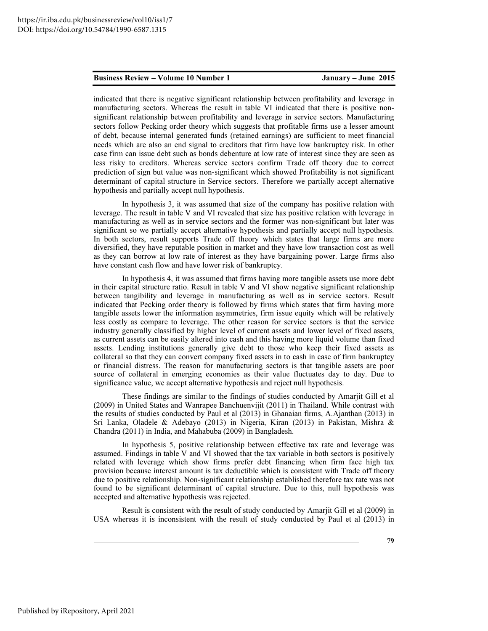indicated that there is negative significant relationship between profitability and leverage in manufacturing sectors. Whereas the result in table VI indicated that there is positive nonsignificant relationship between profitability and leverage in service sectors. Manufacturing sectors follow Pecking order theory which suggests that profitable firms use a lesser amount of debt, because internal generated funds (retained earnings) are sufficient to meet financial needs which are also an end signal to creditors that firm have low bankruptcy risk. In other case firm can issue debt such as bonds debenture at low rate of interest since they are seen as less risky to creditors. Whereas service sectors confirm Trade off theory due to correct prediction of sign but value was non-significant which showed Profitability is not significant determinant of capital structure in Service sectors. Therefore we partially accept alternative hypothesis and partially accept null hypothesis.

In hypothesis 3, it was assumed that size of the company has positive relation with leverage. The result in table V and VI revealed that size has positive relation with leverage in manufacturing as well as in service sectors and the former was non-significant but later was significant so we partially accept alternative hypothesis and partially accept null hypothesis. In both sectors, result supports Trade off theory which states that large firms are more diversified, they have reputable position in market and they have low transaction cost as well as they can borrow at low rate of interest as they have bargaining power. Large firms also have constant cash flow and have lower risk of bankruptcy.

In hypothesis 4, it was assumed that firms having more tangible assets use more debt in their capital structure ratio. Result in table V and VI show negative significant relationship between tangibility and leverage in manufacturing as well as in service sectors. Result indicated that Pecking order theory is followed by firms which states that firm having more tangible assets lower the information asymmetries, firm issue equity which will be relatively less costly as compare to leverage. The other reason for service sectors is that the service industry generally classified by higher level of current assets and lower level of fixed assets, as current assets can be easily altered into cash and this having more liquid volume than fixed assets. Lending institutions generally give debt to those who keep their fixed assets as collateral so that they can convert company fixed assets in to cash in case of firm bankruptcy or financial distress. The reason for manufacturing sectors is that tangible assets are poor source of collateral in emerging economies as their value fluctuates day to day. Due to significance value, we accept alternative hypothesis and reject null hypothesis.

These findings are similar to the findings of studies conducted by Amarjit Gill et al (2009) in United States and Wanrapee Banchuenvijit (2011) in Thailand. While contrast with the results of studies conducted by Paul et al (2013) in Ghanaian firms, A.Ajanthan (2013) in Sri Lanka, Oladele & Adebayo (2013) in Nigeria, Kiran (2013) in Pakistan, Mishra & Chandra (2011) in India, and Mahabuba (2009) in Bangladesh.

In hypothesis 5, positive relationship between effective tax rate and leverage was assumed. Findings in table V and VI showed that the tax variable in both sectors is positively related with leverage which show firms prefer debt financing when firm face high tax provision because interest amount is tax deductible which is consistent with Trade off theory due to positive relationship. Non-significant relationship established therefore tax rate was not found to be significant determinant of capital structure. Due to this, null hypothesis was accepted and alternative hypothesis was rejected.

Result is consistent with the result of study conducted by Amarjit Gill et al (2009) in USA whereas it is inconsistent with the result of study conducted by Paul et al (2013) in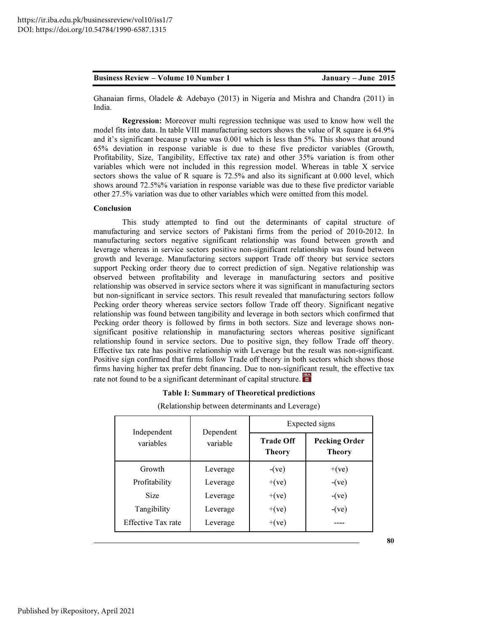India.

Conclusion

#### Business Review – Volume 10 Number 1 January – June 2015

This study attempted to find out the determinants of capital structure of manufacturing and service sectors of Pakistani firms from the period of 2010-2012. In manufacturing sectors negative significant relationship was found between growth and leverage whereas in service sectors positive non-significant relationship was found between growth and leverage. Manufacturing sectors support Trade off theory but service sectors support Pecking order theory due to correct prediction of sign. Negative relationship was observed between profitability and leverage in manufacturing sectors and positive relationship was observed in service sectors where it was significant in manufacturing sectors but non-significant in service sectors. This result revealed that manufacturing sectors follow Pecking order theory whereas service sectors follow Trade off theory. Significant negative relationship was found between tangibility and leverage in both sectors which confirmed that Pecking order theory is followed by firms in both sectors. Size and leverage shows nonsignificant positive relationship in manufacturing sectors whereas positive significant relationship found in service sectors. Due to positive sign, they follow Trade off theory. Effective tax rate has positive relationship with Leverage but the result was non-significant. Positive sign confirmed that firms follow Trade off theory in both sectors which shows those firms having higher tax prefer debt financing. Due to non-significant result, the effective tax rate not found to be a significant determinant of capital structure.

Ghanaian firms, Oladele & Adebayo (2013) in Nigeria and Mishra and Chandra (2011) in

model fits into data. In table VIII manufacturing sectors shows the value of R square is 64.9% and it's significant because p value was 0.001 which is less than 5%. This shows that around 65% deviation in response variable is due to these five predictor variables (Growth, Profitability, Size, Tangibility, Effective tax rate) and other 35% variation is from other variables which were not included in this regression model. Whereas in table X service sectors shows the value of R square is 72.5% and also its significant at 0.000 level, which shows around 72.5%% variation in response variable was due to these five predictor variable other 27.5% variation was due to other variables which were omitted from this model.

Regression: Moreover multi regression technique was used to know how well the

#### Table I: Summary of Theoretical predictions

(Relationship between determinants and Leverage)

|                           |                                      | Expected signs |                                       |  |
|---------------------------|--------------------------------------|----------------|---------------------------------------|--|
| variables                 | Independent<br>Dependent<br>variable |                | <b>Pecking Order</b><br><b>Theory</b> |  |
| Growth                    | Leverage                             | $-(ve)$        | $+(ve)$                               |  |
| Profitability             | Leverage                             | $+(ve)$        | $-(ve)$                               |  |
| <b>Size</b>               | Leverage                             | $+(ve)$        | $-(ve)$                               |  |
| Tangibility               | Leverage                             | $+(ve)$        | $-(ve)$                               |  |
| <b>Effective Tax rate</b> | Leverage                             | $+(ve)$        |                                       |  |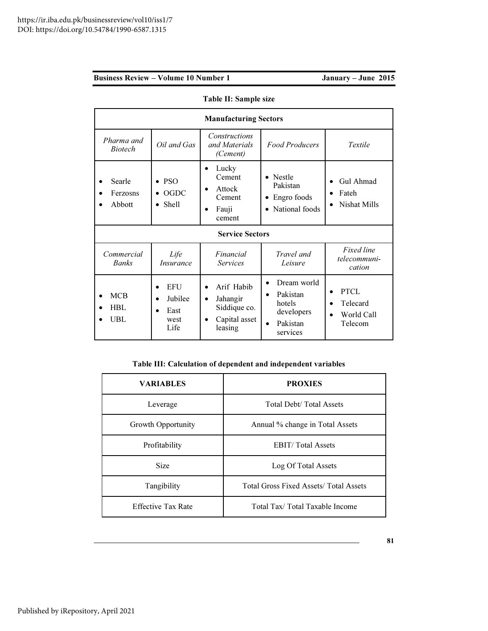|                              | <b>Manufacturing Sectors</b>                  |                                                                                 |                                                                                                                |                                                               |  |  |
|------------------------------|-----------------------------------------------|---------------------------------------------------------------------------------|----------------------------------------------------------------------------------------------------------------|---------------------------------------------------------------|--|--|
| Pharma and<br><i>Biotech</i> | Oil and Gas                                   | Constructions<br>and Materials<br>(Cement)                                      | <b>Food Producers</b>                                                                                          | Textile                                                       |  |  |
| Searle<br>Ferzosns<br>Abbott | <b>PSO</b><br><b>OGDC</b><br>Shell            | Lucky<br>Cement<br>Attock<br>$\bullet$<br>Cement<br>Fauji<br>cement             | Nestle<br>$\bullet$<br>Pakistan<br>Engro foods<br>$\bullet$<br>National foods<br>$\bullet$                     | Gul Ahmad<br>$\bullet$<br>Fateh<br>Nishat Mills<br>$\bullet$  |  |  |
| <b>Service Sectors</b>       |                                               |                                                                                 |                                                                                                                |                                                               |  |  |
| Commercial<br><b>Banks</b>   | Life<br><i>Insurance</i>                      | Financial<br><b>Services</b>                                                    | Travel and<br>Leisure                                                                                          | <b>Fixed line</b><br>telecommuni-<br>cation                   |  |  |
| <b>MCB</b><br>HBL<br>UBL     | <b>EFU</b><br>Jubilee<br>East<br>west<br>Life | Arif Habib<br>Jahangir<br>$\bullet$<br>Siddique co.<br>Capital asset<br>leasing | Dream world<br>$\bullet$<br>Pakistan<br>$\bullet$<br>hotels<br>developers<br>Pakistan<br>$\bullet$<br>services | <b>PTCL</b><br>Telecard<br>World Call<br>$\bullet$<br>Telecom |  |  |

Table II: Sample size

# Table III: Calculation of dependent and independent variables

| <b>VARIABLES</b>                                      | <b>PROXIES</b>                                |
|-------------------------------------------------------|-----------------------------------------------|
| <b>Total Debt/Total Assets</b><br>Leverage            |                                               |
| Growth Opportunity<br>Annual % change in Total Assets |                                               |
| Profitability                                         | <b>EBIT/Total Assets</b>                      |
| <b>Size</b>                                           | Log Of Total Assets                           |
| Tangibility                                           | <b>Total Gross Fixed Assets/ Total Assets</b> |
| <b>Effective Tax Rate</b>                             | Total Tax/Total Taxable Income                |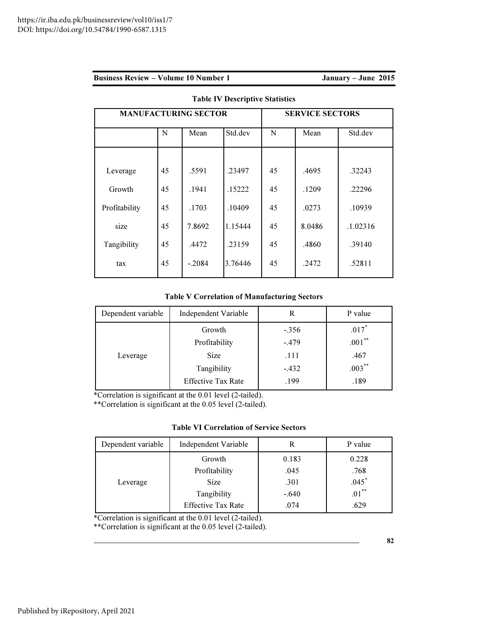|  | <b>Business Review – Volume 10 Number 1</b> |  |  |  |  |  |
|--|---------------------------------------------|--|--|--|--|--|
|--|---------------------------------------------|--|--|--|--|--|

# January – June 2015

| <b>MANUFACTURING SECTOR</b> |    |          |         | <b>SERVICE SECTORS</b> |        |          |
|-----------------------------|----|----------|---------|------------------------|--------|----------|
|                             | N  | Mean     | Std.dev | N                      | Mean   | Std.dev  |
|                             |    |          |         |                        |        |          |
| Leverage                    | 45 | .5591    | .23497  | 45                     | .4695  | .32243   |
| Growth                      | 45 | .1941    | .15222  | 45                     | .1209  | .22296   |
| Profitability               | 45 | .1703    | .10409  | 45                     | .0273  | .10939   |
| size                        | 45 | 7.8692   | 1.15444 | 45                     | 8.0486 | .1.02316 |
| Tangibility                 | 45 | .4472    | .23159  | 45                     | .4860  | .39140   |
| tax                         | 45 | $-.2084$ | 3.76446 | 45                     | .2472  | .52811   |
|                             |    |          |         |                        |        |          |

# Table IV Descriptive Statistics

# Table V Correlation of Manufacturing Sectors

| Dependent variable | Independent Variable      | R       | P value   |
|--------------------|---------------------------|---------|-----------|
|                    | Growth                    | $-.356$ | $.017*$   |
|                    | Profitability             | $-.479$ | $.001$ ** |
| Leverage           | <b>Size</b>               | .111    | .467      |
|                    | Tangibility               | $-432$  | $.003***$ |
|                    | <b>Effective Tax Rate</b> | .199    | .189      |

\*Correlation is significant at the 0.01 level (2-tailed).

\*\*Correlation is significant at the 0.05 level (2-tailed).

# Table VI Correlation of Service Sectors

| Dependent variable | Independent Variable      |         | P value  |
|--------------------|---------------------------|---------|----------|
|                    | Growth                    | 0.183   | 0.228    |
|                    | Profitability             | .045    | .768     |
| Leverage           | <b>Size</b>               | .301    | $.045*$  |
|                    | Tangibility               | $-.640$ | $.01***$ |
|                    | <b>Effective Tax Rate</b> | .074    | .629     |

\*Correlation is significant at the 0.01 level (2-tailed).

\*\*Correlation is significant at the 0.05 level (2-tailed).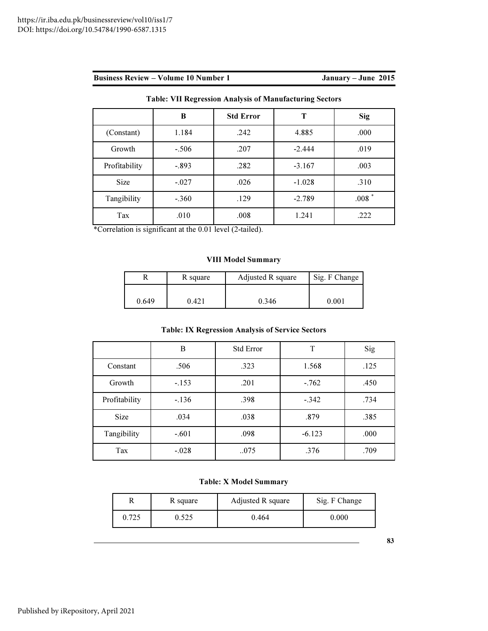|               | B       | <b>Std Error</b> | т        | <b>Sig</b>       |
|---------------|---------|------------------|----------|------------------|
| (Constant)    | 1.184   | .242             | 4.885    | .000             |
| Growth        | $-.506$ | .207             | $-2.444$ | .019             |
| Profitability | $-.893$ | .282             | $-3.167$ | .003             |
| Size          | $-.027$ | .026             | $-1.028$ | .310             |
| Tangibility   | $-.360$ | .129             | $-2.789$ | $.008$ $^{\ast}$ |
| Tax           | .010    | .008             | 1.241    | .222             |

Table: VII Regression Analysis of Manufacturing Sectors

\*Correlation is significant at the 0.01 level (2-tailed).

# VIII Model Summary

|       | R square | Adjusted R square | Sig. F Change |
|-------|----------|-------------------|---------------|
|       |          |                   |               |
| 0.649 | 0.421    | 0.346             | $0.001\,$     |

# Table: IX Regression Analysis of Service Sectors

|               | B       | <b>Std Error</b> | T        | Sig  |
|---------------|---------|------------------|----------|------|
| Constant      | .506    | .323             | 1.568    | .125 |
| Growth        | $-153$  | .201             | $-.762$  | .450 |
| Profitability | $-.136$ | .398             | $-.342$  | .734 |
| Size          | .034    | .038             | .879     | .385 |
| Tangibility   | $-.601$ | .098             | $-6.123$ | .000 |
| Tax           | $-.028$ | 075              | .376     | .709 |

# Table: X Model Summary

|       | R square | Adjusted R square | Sig. F Change |
|-------|----------|-------------------|---------------|
| 0.725 |          | 0.464             | $0.000\,$     |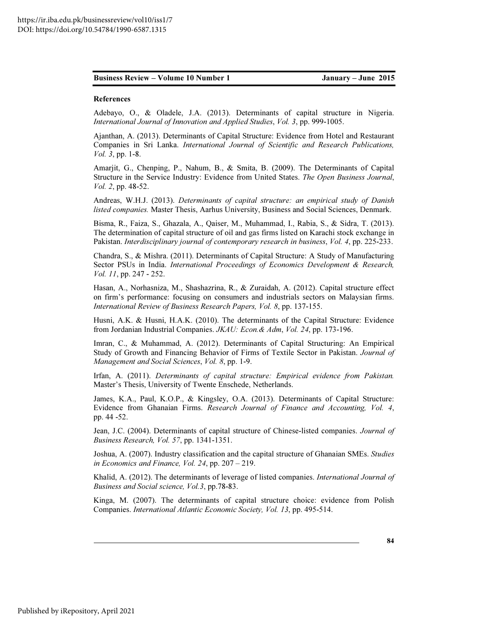#### References

Adebayo, O., & Oladele, J.A. (2013). Determinants of capital structure in Nigeria. *International Journal of Innovation and Applied Studies*, *Vol. 3*, pp. 999-1005.

Ajanthan, A. (2013). Determinants of Capital Structure: Evidence from Hotel and Restaurant Companies in Sri Lanka. *International Journal of Scientific and Research Publications, Vol. 3*, pp. 1-8.

Amarjit, G., Chenping, P., Nahum, B., & Smita, B. (2009). The Determinants of Capital Structure in the Service Industry: Evidence from United States. *The Open Business Journal*, *Vol. 2*, pp. 48-52.

Andreas, W.H.J. (2013). *Determinants of capital structure: an empirical study of Danish listed companies.* Master Thesis, Aarhus University, Business and Social Sciences, Denmark.

Bisma, R., Faiza, S., Ghazala, A., Qaiser, M., Muhammad, I., Rabia, S., & Sidra, T. (2013). The determination of capital structure of oil and gas firms listed on Karachi stock exchange in Pakistan. *Interdisciplinary journal of contemporary research in business*, *Vol. 4*, pp. 225-233.

Chandra, S., & Mishra. (2011). Determinants of Capital Structure: A Study of Manufacturing Sector PSUs in India. *International Proceedings of Economics Development & Research, Vol. 11*, pp. 247 - 252.

Hasan, A., Norhasniza, M., Shashazrina, R., & Zuraidah, A. (2012). Capital structure effect on firm's performance: focusing on consumers and industrials sectors on Malaysian firms. *International Review of Business Research Papers, Vol. 8*, pp. 137-155.

Husni, A.K. & Husni, H.A.K. (2010). The determinants of the Capital Structure: Evidence from Jordanian Industrial Companies. *JKAU: Econ.& Adm*, *Vol. 24*, pp. 173-196.

Imran, C., & Muhammad, A. (2012). Determinants of Capital Structuring: An Empirical Study of Growth and Financing Behavior of Firms of Textile Sector in Pakistan. *Journal of Management and Social Sciences*, *Vol. 8*, pp. 1-9.

Irfan, A. (2011). *Determinants of capital structure: Empirical evidence from Pakistan.*  Master's Thesis, University of Twente Enschede, Netherlands.

James, K.A., Paul, K.O.P., & Kingsley, O.A. (2013). Determinants of Capital Structure: Evidence from Ghanaian Firms. *Research Journal of Finance and Accounting, Vol. 4*, pp. 44 -52.

Jean, J.C. (2004). Determinants of capital structure of Chinese-listed companies. *Journal of Business Research, Vol. 57*, pp. 1341-1351.

Joshua, A. (2007). Industry classification and the capital structure of Ghanaian SMEs. *Studies in Economics and Finance, Vol. 24*, pp. 207 – 219.

Khalid, A. (2012). The determinants of leverage of listed companies. *International Journal of Business and Social science, Vol.3*, pp.78-83.

Kinga, M. (2007). The determinants of capital structure choice: evidence from Polish Companies. *International Atlantic Economic Society, Vol. 13*, pp. 495-514.